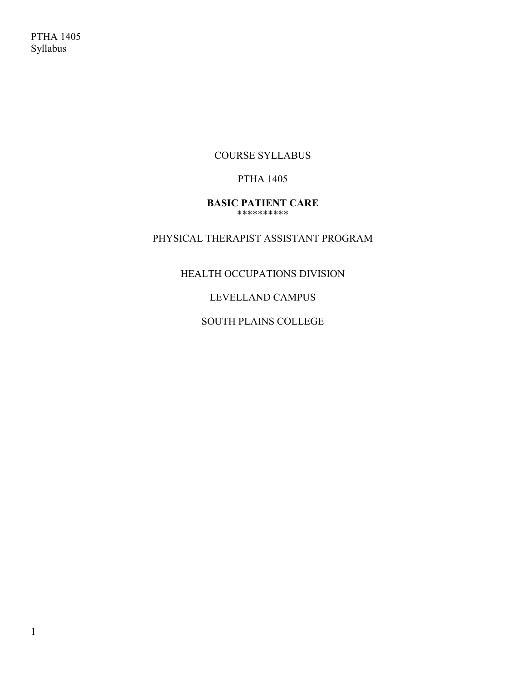COURSE SYLLABUS

## PTHA 1405

#### **BASIC PATIENT CARE** \*\*\*\*\*\*\*\*\*\*

# PHYSICAL THERAPIST ASSISTANT PROGRAM

# HEALTH OCCUPATIONS DIVISION

# LEVELLAND CAMPUS

# SOUTH PLAINS COLLEGE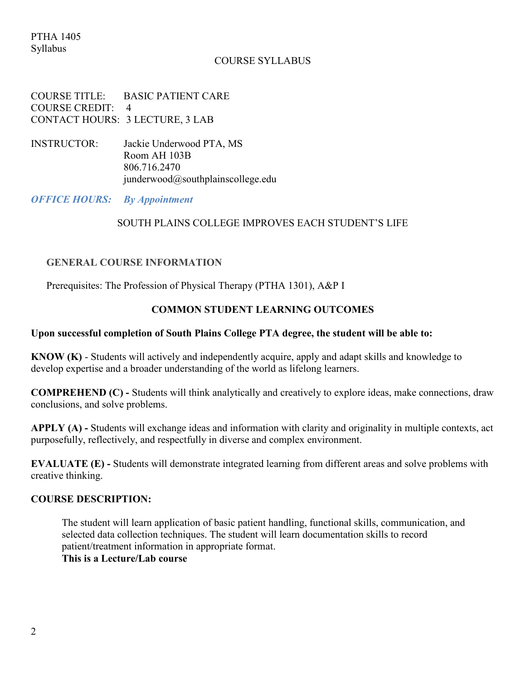#### COURSE SYLLABUS

COURSE TITLE: BASIC PATIENT CARE COURSE CREDIT: 4 CONTACT HOURS: 3 LECTURE, 3 LAB

INSTRUCTOR: Jackie Underwood PTA, MS Room AH 103B 806.716.2470 junderwood@southplainscollege.edu

*OFFICE HOURS: By Appointment*

#### SOUTH PLAINS COLLEGE IMPROVES EACH STUDENT'S LIFE

#### **GENERAL COURSE INFORMATION**

Prerequisites: The Profession of Physical Therapy (PTHA 1301), A&P I

#### **COMMON STUDENT LEARNING OUTCOMES**

#### **Upon successful completion of South Plains College PTA degree, the student will be able to:**

**KNOW (K)** - Students will actively and independently acquire, apply and adapt skills and knowledge to develop expertise and a broader understanding of the world as lifelong learners.

**COMPREHEND (C) -** Students will think analytically and creatively to explore ideas, make connections, draw conclusions, and solve problems.

**APPLY (A) -** Students will exchange ideas and information with clarity and originality in multiple contexts, act purposefully, reflectively, and respectfully in diverse and complex environment.

**EVALUATE (E) -** Students will demonstrate integrated learning from different areas and solve problems with creative thinking.

#### **COURSE DESCRIPTION:**

The student will learn application of basic patient handling, functional skills, communication, and selected data collection techniques. The student will learn documentation skills to record patient/treatment information in appropriate format.

**This is a Lecture/Lab course**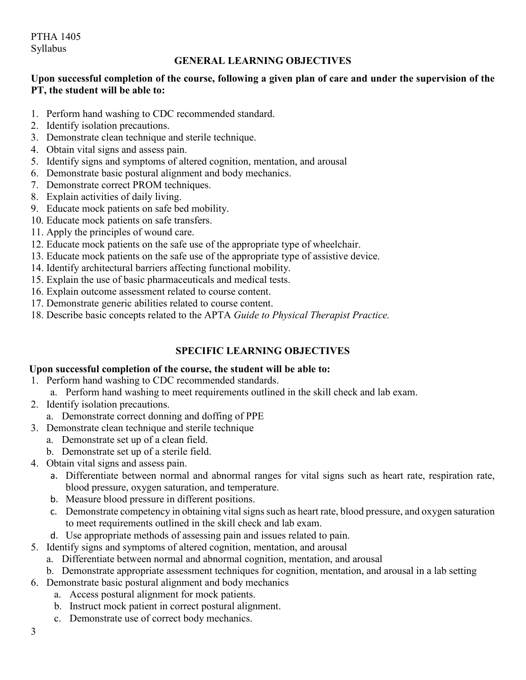PTHA 1405 Syllabus

## **GENERAL LEARNING OBJECTIVES**

## **Upon successful completion of the course, following a given plan of care and under the supervision of the PT, the student will be able to:**

- 1. Perform hand washing to CDC recommended standard.
- 2. Identify isolation precautions.
- 3. Demonstrate clean technique and sterile technique.
- 4. Obtain vital signs and assess pain.
- 5. Identify signs and symptoms of altered cognition, mentation, and arousal
- 6. Demonstrate basic postural alignment and body mechanics.
- 7. Demonstrate correct PROM techniques.
- 8. Explain activities of daily living.
- 9. Educate mock patients on safe bed mobility.
- 10. Educate mock patients on safe transfers.
- 11. Apply the principles of wound care.
- 12. Educate mock patients on the safe use of the appropriate type of wheelchair.
- 13. Educate mock patients on the safe use of the appropriate type of assistive device.
- 14. Identify architectural barriers affecting functional mobility.
- 15. Explain the use of basic pharmaceuticals and medical tests.
- 16. Explain outcome assessment related to course content.
- 17. Demonstrate generic abilities related to course content.
- 18. Describe basic concepts related to the APTA *Guide to Physical Therapist Practice.*

# **SPECIFIC LEARNING OBJECTIVES**

## **Upon successful completion of the course, the student will be able to:**

- 1. Perform hand washing to CDC recommended standards.
- a. Perform hand washing to meet requirements outlined in the skill check and lab exam.
- 2. Identify isolation precautions.
	- a. Demonstrate correct donning and doffing of PPE
- 3. Demonstrate clean technique and sterile technique
	- a. Demonstrate set up of a clean field.
	- b. Demonstrate set up of a sterile field.
- 4. Obtain vital signs and assess pain.
	- a. Differentiate between normal and abnormal ranges for vital signs such as heart rate, respiration rate, blood pressure, oxygen saturation, and temperature.
	- b. Measure blood pressure in different positions.
	- c. Demonstrate competency in obtaining vital signs such as heart rate, blood pressure, and oxygen saturation to meet requirements outlined in the skill check and lab exam.
	- d. Use appropriate methods of assessing pain and issues related to pain.
- 5. Identify signs and symptoms of altered cognition, mentation, and arousal
	- a. Differentiate between normal and abnormal cognition, mentation, and arousal
	- b. Demonstrate appropriate assessment techniques for cognition, mentation, and arousal in a lab setting
- 6. Demonstrate basic postural alignment and body mechanics
	- a. Access postural alignment for mock patients.
	- b. Instruct mock patient in correct postural alignment.
	- c. Demonstrate use of correct body mechanics.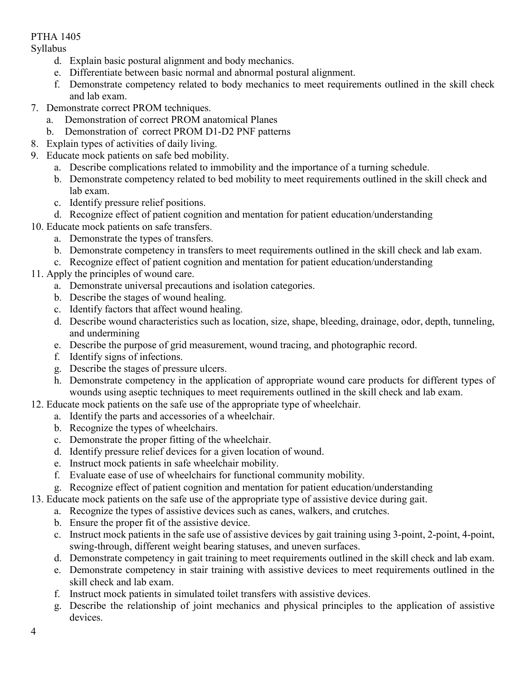# PTHA 1405

Syllabus

- d. Explain basic postural alignment and body mechanics.
- e. Differentiate between basic normal and abnormal postural alignment.
- f. Demonstrate competency related to body mechanics to meet requirements outlined in the skill check and lab exam.
- 7. Demonstrate correct PROM techniques.
	- a. Demonstration of correct PROM anatomical Planes
	- b. Demonstration of correct PROM D1-D2 PNF patterns
- 8. Explain types of activities of daily living.
- 9. Educate mock patients on safe bed mobility.
	- a. Describe complications related to immobility and the importance of a turning schedule.
	- b. Demonstrate competency related to bed mobility to meet requirements outlined in the skill check and lab exam.
	- c. Identify pressure relief positions.
	- d. Recognize effect of patient cognition and mentation for patient education/understanding
- 10. Educate mock patients on safe transfers.
	- a. Demonstrate the types of transfers.
	- b. Demonstrate competency in transfers to meet requirements outlined in the skill check and lab exam.
	- c. Recognize effect of patient cognition and mentation for patient education/understanding
- 11. Apply the principles of wound care.
	- a. Demonstrate universal precautions and isolation categories.
	- b. Describe the stages of wound healing.
	- c. Identify factors that affect wound healing.
	- d. Describe wound characteristics such as location, size, shape, bleeding, drainage, odor, depth, tunneling, and undermining
	- e. Describe the purpose of grid measurement, wound tracing, and photographic record.
	- f. Identify signs of infections.
	- g. Describe the stages of pressure ulcers.
	- h. Demonstrate competency in the application of appropriate wound care products for different types of wounds using aseptic techniques to meet requirements outlined in the skill check and lab exam.
- 12. Educate mock patients on the safe use of the appropriate type of wheelchair.
	- a. Identify the parts and accessories of a wheelchair.
	- b. Recognize the types of wheelchairs.
	- c. Demonstrate the proper fitting of the wheelchair.
	- d. Identify pressure relief devices for a given location of wound.
	- e. Instruct mock patients in safe wheelchair mobility.
	- f. Evaluate ease of use of wheelchairs for functional community mobility.
	- g. Recognize effect of patient cognition and mentation for patient education/understanding
- 13. Educate mock patients on the safe use of the appropriate type of assistive device during gait.
	- a. Recognize the types of assistive devices such as canes, walkers, and crutches.
	- b. Ensure the proper fit of the assistive device.
	- c. Instruct mock patients in the safe use of assistive devices by gait training using 3-point, 2-point, 4-point, swing-through, different weight bearing statuses, and uneven surfaces.
	- d. Demonstrate competency in gait training to meet requirements outlined in the skill check and lab exam.
	- e. Demonstrate competency in stair training with assistive devices to meet requirements outlined in the skill check and lab exam.
	- f. Instruct mock patients in simulated toilet transfers with assistive devices.
	- g. Describe the relationship of joint mechanics and physical principles to the application of assistive devices.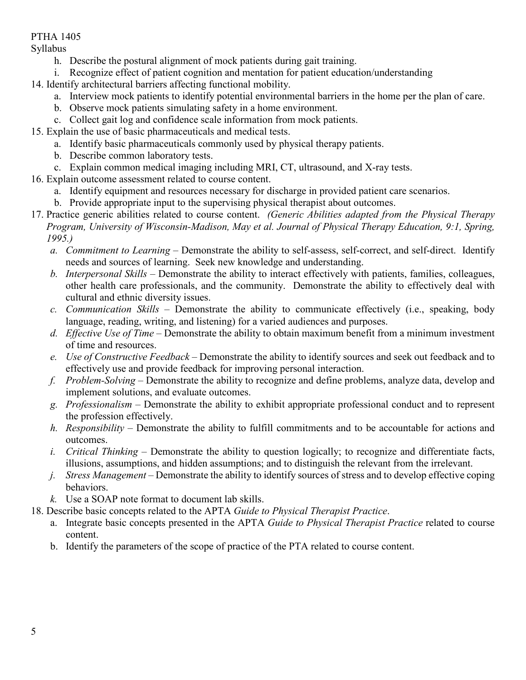# PTHA 1405

Syllabus

- h. Describe the postural alignment of mock patients during gait training.
- i. Recognize effect of patient cognition and mentation for patient education/understanding
- 14. Identify architectural barriers affecting functional mobility.
	- a. Interview mock patients to identify potential environmental barriers in the home per the plan of care.
	- b. Observe mock patients simulating safety in a home environment.
	- c. Collect gait log and confidence scale information from mock patients.
- 15. Explain the use of basic pharmaceuticals and medical tests.
	- a. Identify basic pharmaceuticals commonly used by physical therapy patients.
	- b. Describe common laboratory tests.
	- c. Explain common medical imaging including MRI, CT, ultrasound, and X-ray tests.
- 16. Explain outcome assessment related to course content.
	- a. Identify equipment and resources necessary for discharge in provided patient care scenarios.
	- b. Provide appropriate input to the supervising physical therapist about outcomes.
- 17. Practice generic abilities related to course content. *(Generic Abilities adapted from the Physical Therapy Program, University of Wisconsin-Madison, May et al. Journal of Physical Therapy Education, 9:1, Spring, 1995.)*
	- *a. Commitment to Learning* Demonstrate the ability to self-assess, self-correct, and self-direct. Identify needs and sources of learning. Seek new knowledge and understanding.
	- *b. Interpersonal Skills* Demonstrate the ability to interact effectively with patients, families, colleagues, other health care professionals, and the community. Demonstrate the ability to effectively deal with cultural and ethnic diversity issues.
	- *c. Communication Skills* Demonstrate the ability to communicate effectively (i.e., speaking, body language, reading, writing, and listening) for a varied audiences and purposes.
	- *d. Effective Use of Time* Demonstrate the ability to obtain maximum benefit from a minimum investment of time and resources.
	- *e. Use of Constructive Feedback* Demonstrate the ability to identify sources and seek out feedback and to effectively use and provide feedback for improving personal interaction.
	- *f. Problem-Solving* Demonstrate the ability to recognize and define problems, analyze data, develop and implement solutions, and evaluate outcomes.
	- *g. Professionalism* Demonstrate the ability to exhibit appropriate professional conduct and to represent the profession effectively.
	- *h. Responsibility* Demonstrate the ability to fulfill commitments and to be accountable for actions and outcomes.
	- *i. Critical Thinking* Demonstrate the ability to question logically; to recognize and differentiate facts, illusions, assumptions, and hidden assumptions; and to distinguish the relevant from the irrelevant.
	- *j. Stress Management* Demonstrate the ability to identify sources of stress and to develop effective coping behaviors.
	- *k.* Use a SOAP note format to document lab skills.
- 18. Describe basic concepts related to the APTA *Guide to Physical Therapist Practice*.
	- a. Integrate basic concepts presented in the APTA *Guide to Physical Therapist Practice* related to course content.
	- b. Identify the parameters of the scope of practice of the PTA related to course content.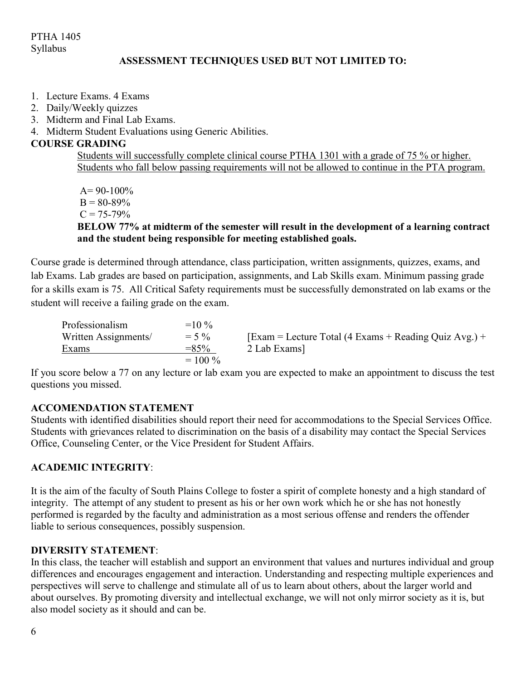## **ASSESSMENT TECHNIQUES USED BUT NOT LIMITED TO:**

- 1. Lecture Exams. 4 Exams
- 2. Daily/Weekly quizzes
- 3. Midterm and Final Lab Exams.
- 4. Midterm Student Evaluations using Generic Abilities.

## **COURSE GRADING**

Students will successfully complete clinical course PTHA 1301 with a grade of 75 % or higher. Students who fall below passing requirements will not be allowed to continue in the PTA program.

 $A = 90-100\%$  $B = 80-89%$  $C = 75 - 79\%$ **BELOW 77% at midterm of the semester will result in the development of a learning contract and the student being responsible for meeting established goals.**

Course grade is determined through attendance, class participation, written assignments, quizzes, exams, and lab Exams. Lab grades are based on participation, assignments, and Lab Skills exam. Minimum passing grade for a skills exam is 75. All Critical Safety requirements must be successfully demonstrated on lab exams or the student will receive a failing grade on the exam.

| Professionalism      | $=10\%$   |                                                               |
|----------------------|-----------|---------------------------------------------------------------|
| Written Assignments/ | $= 5\%$   | $\text{Exam}$ = Lecture Total (4 Exams + Reading Quiz Avg.) + |
| Exams                | $= 85\%$  | 2 Lab Exams]                                                  |
|                      | $= 100\%$ |                                                               |

If you score below a 77 on any lecture or lab exam you are expected to make an appointment to discuss the test questions you missed.

## **ACCOMENDATION STATEMENT**

Students with identified disabilities should report their need for accommodations to the Special Services Office. Students with grievances related to discrimination on the basis of a disability may contact the Special Services Office, Counseling Center, or the Vice President for Student Affairs.

## **ACADEMIC INTEGRITY**:

It is the aim of the faculty of South Plains College to foster a spirit of complete honesty and a high standard of integrity. The attempt of any student to present as his or her own work which he or she has not honestly performed is regarded by the faculty and administration as a most serious offense and renders the offender liable to serious consequences, possibly suspension.

## **DIVERSITY STATEMENT**:

In this class, the teacher will establish and support an environment that values and nurtures individual and group differences and encourages engagement and interaction. Understanding and respecting multiple experiences and perspectives will serve to challenge and stimulate all of us to learn about others, about the larger world and about ourselves. By promoting diversity and intellectual exchange, we will not only mirror society as it is, but also model society as it should and can be.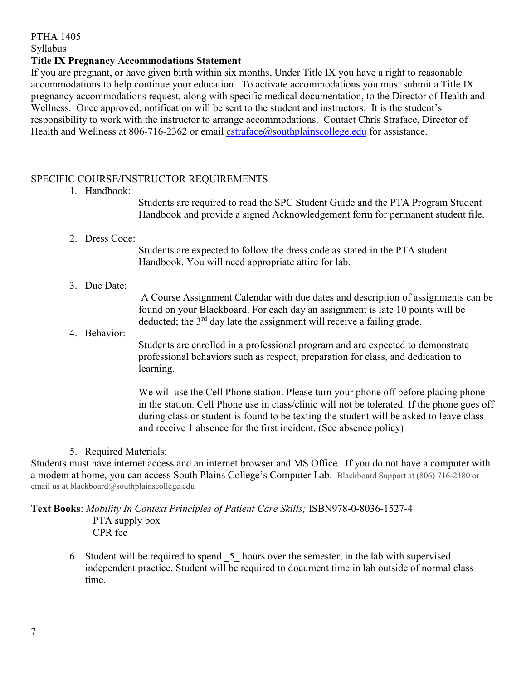# PTHA 1405

Syllabus

### **Title IX Pregnancy Accommodations Statement**

If you are pregnant, or have given birth within six months, Under Title IX you have a right to reasonable accommodations to help continue your education. To activate accommodations you must submit a Title IX pregnancy accommodations request, along with specific medical documentation, to the Director of Health and Wellness. Once approved, notification will be sent to the student and instructors. It is the student's responsibility to work with the instructor to arrange accommodations. Contact Chris Straface, Director of Health and Wellness at 806-716-2362 or email  $\text{extraface}(\hat{a})$ southplainscollege.edu for assistance.

### SPECIFIC COURSE/INSTRUCTOR REQUIREMENTS

1. Handbook:

Students are required to read the SPC Student Guide and the PTA Program Student Handbook and provide a signed Acknowledgement form for permanent student file.

2. Dress Code:

Students are expected to follow the dress code as stated in the PTA student Handbook. You will need appropriate attire for lab.

3. Due Date:

A Course Assignment Calendar with due dates and description of assignments can be found on your Blackboard. For each day an assignment is late 10 points will be deducted; the  $3<sup>rd</sup>$  day late the assignment will receive a failing grade.

4. Behavior:

Students are enrolled in a professional program and are expected to demonstrate professional behaviors such as respect, preparation for class, and dedication to learning.

We will use the Cell Phone station. Please turn your phone off before placing phone in the station. Cell Phone use in class/clinic will not be tolerated. If the phone goes off during class or student is found to be texting the student will be asked to leave class and receive 1 absence for the first incident. (See absence policy)

5. Required Materials:

Students must have internet access and an internet browser and MS Office. If you do not have a computer with a modem at home, you can access South Plains College's Computer Lab. Blackboard Support at (806) 716-2180 or email us at blackboard@southplainscollege.edu

#### **Text Books**: *Mobility In Context Principles of Patient Care Skills;* ISBN978-0-8036-1527-4 PTA supply box CPR fee

6. Student will be required to spend  $\overline{5}$  hours over the semester, in the lab with supervised independent practice. Student will be required to document time in lab outside of normal class time.